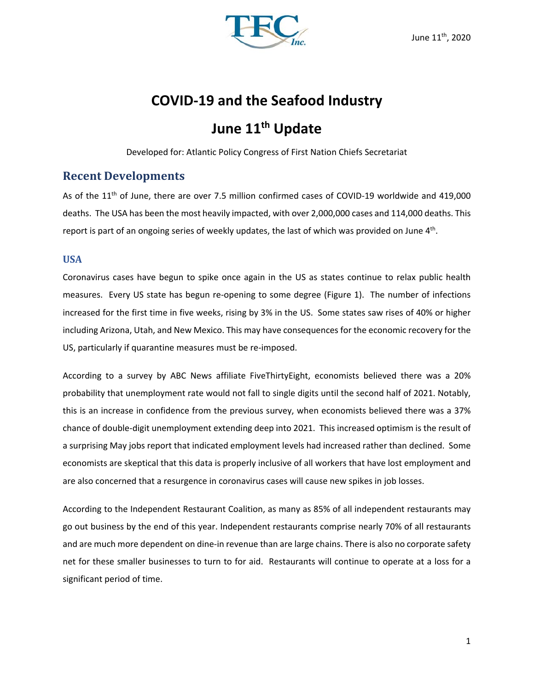

# **COVID‐19 and the Seafood Industry**

## June 11<sup>th</sup> Update

Developed for: Atlantic Policy Congress of First Nation Chiefs Secretariat

## **Recent Developments**

As of the 11<sup>th</sup> of June, there are over 7.5 million confirmed cases of COVID-19 worldwide and 419,000 deaths. The USA has been the most heavily impacted, with over 2,000,000 cases and 114,000 deaths. This report is part of an ongoing series of weekly updates, the last of which was provided on June 4<sup>th</sup>.

## **USA**

Coronavirus cases have begun to spike once again in the US as states continue to relax public health measures. Every US state has begun re-opening to some degree (Figure 1). The number of infections increased for the first time in five weeks, rising by 3% in the US. Some states saw rises of 40% or higher including Arizona, Utah, and New Mexico. This may have consequences for the economic recovery for the US, particularly if quarantine measures must be re‐imposed.

According to a survey by ABC News affiliate FiveThirtyEight, economists believed there was a 20% probability that unemployment rate would not fall to single digits until the second half of 2021. Notably, this is an increase in confidence from the previous survey, when economists believed there was a 37% chance of double‐digit unemployment extending deep into 2021. This increased optimism is the result of a surprising May jobs report that indicated employment levels had increased rather than declined. Some economists are skeptical that this data is properly inclusive of all workers that have lost employment and are also concerned that a resurgence in coronavirus cases will cause new spikes in job losses.

According to the Independent Restaurant Coalition, as many as 85% of all independent restaurants may go out business by the end of this year. Independent restaurants comprise nearly 70% of all restaurants and are much more dependent on dine‐in revenue than are large chains. There is also no corporate safety net for these smaller businesses to turn to for aid. Restaurants will continue to operate at a loss for a significant period of time.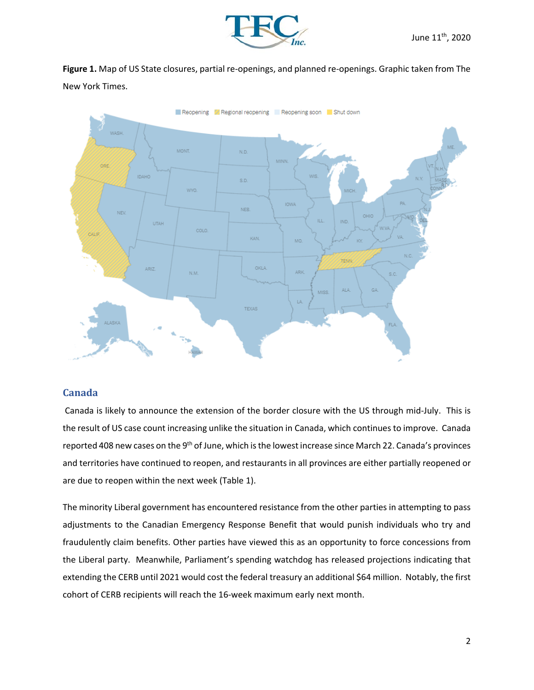

Figure 1. Map of US State closures, partial re-openings, and planned re-openings. Graphic taken from The New York Times.



### **Canada**

 Canada is likely to announce the extension of the border closure with the US through mid‐July. This is the result of US case count increasing unlike the situation in Canada, which continues to improve. Canada reported 408 new cases on the 9<sup>th</sup> of June, which is the lowest increase since March 22. Canada's provinces and territories have continued to reopen, and restaurants in all provinces are either partially reopened or are due to reopen within the next week (Table 1).

The minority Liberal government has encountered resistance from the other parties in attempting to pass adjustments to the Canadian Emergency Response Benefit that would punish individuals who try and fraudulently claim benefits. Other parties have viewed this as an opportunity to force concessions from the Liberal party. Meanwhile, Parliament's spending watchdog has released projections indicating that extending the CERB until 2021 would cost the federal treasury an additional \$64 million. Notably, the first cohort of CERB recipients will reach the 16‐week maximum early next month.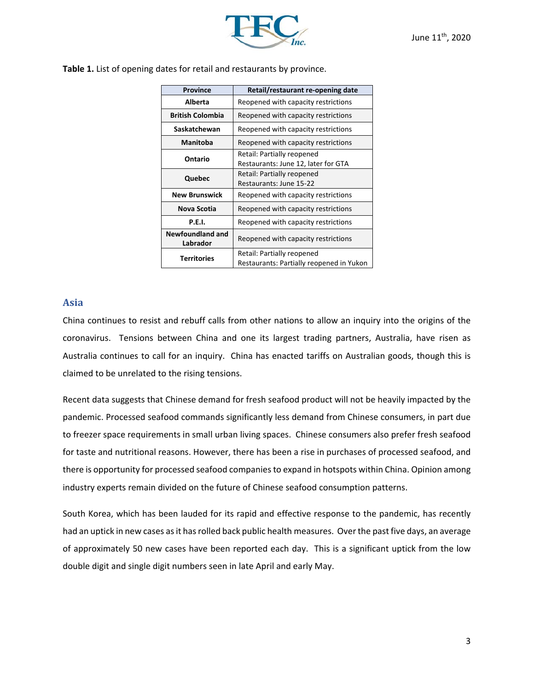

| Table 1. List of opening dates for retail and restaurants by province. |  |  |  |
|------------------------------------------------------------------------|--|--|--|
|------------------------------------------------------------------------|--|--|--|

| <b>Province</b>              | Retail/restaurant re-opening date                                      |  |  |  |  |
|------------------------------|------------------------------------------------------------------------|--|--|--|--|
| Alberta                      | Reopened with capacity restrictions                                    |  |  |  |  |
| <b>British Colombia</b>      | Reopened with capacity restrictions                                    |  |  |  |  |
| Saskatchewan                 | Reopened with capacity restrictions                                    |  |  |  |  |
| <b>Manitoba</b>              | Reopened with capacity restrictions                                    |  |  |  |  |
| Ontario                      | Retail: Partially reopened<br>Restaurants: June 12, later for GTA      |  |  |  |  |
| Quebec                       | Retail: Partially reopened<br>Restaurants: June 15-22                  |  |  |  |  |
| <b>New Brunswick</b>         | Reopened with capacity restrictions                                    |  |  |  |  |
| Nova Scotia                  | Reopened with capacity restrictions                                    |  |  |  |  |
| <b>P.E.I.</b>                | Reopened with capacity restrictions                                    |  |  |  |  |
| Newfoundland and<br>Labrador | Reopened with capacity restrictions                                    |  |  |  |  |
| <b>Territories</b>           | Retail: Partially reopened<br>Restaurants: Partially reopened in Yukon |  |  |  |  |

#### **Asia**

China continues to resist and rebuff calls from other nations to allow an inquiry into the origins of the coronavirus. Tensions between China and one its largest trading partners, Australia, have risen as Australia continues to call for an inquiry. China has enacted tariffs on Australian goods, though this is claimed to be unrelated to the rising tensions.

Recent data suggests that Chinese demand for fresh seafood product will not be heavily impacted by the pandemic. Processed seafood commands significantly less demand from Chinese consumers, in part due to freezer space requirements in small urban living spaces. Chinese consumers also prefer fresh seafood for taste and nutritional reasons. However, there has been a rise in purchases of processed seafood, and there is opportunity for processed seafood companies to expand in hotspots within China. Opinion among industry experts remain divided on the future of Chinese seafood consumption patterns.

South Korea, which has been lauded for its rapid and effective response to the pandemic, has recently had an uptick in new cases as it has rolled back public health measures. Over the past five days, an average of approximately 50 new cases have been reported each day. This is a significant uptick from the low double digit and single digit numbers seen in late April and early May.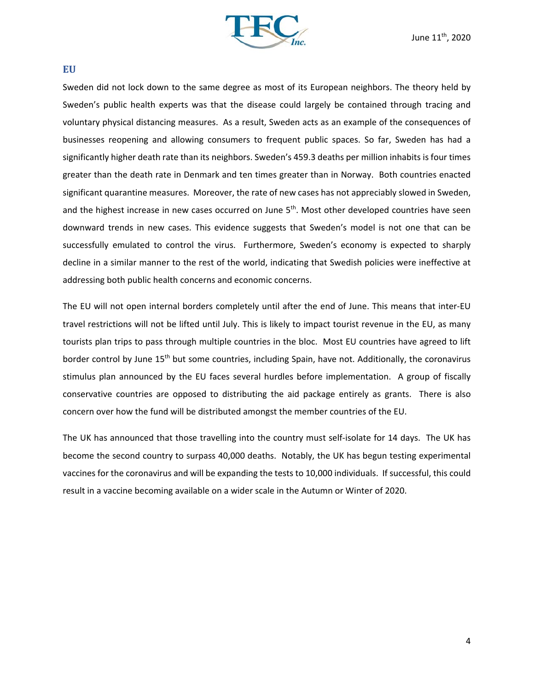

#### **EU**

Sweden did not lock down to the same degree as most of its European neighbors. The theory held by Sweden's public health experts was that the disease could largely be contained through tracing and voluntary physical distancing measures. As a result, Sweden acts as an example of the consequences of businesses reopening and allowing consumers to frequent public spaces. So far, Sweden has had a significantly higher death rate than its neighbors. Sweden's 459.3 deaths per million inhabits is four times greater than the death rate in Denmark and ten times greater than in Norway. Both countries enacted significant quarantine measures. Moreover, the rate of new cases has not appreciably slowed in Sweden, and the highest increase in new cases occurred on June 5<sup>th</sup>. Most other developed countries have seen downward trends in new cases. This evidence suggests that Sweden's model is not one that can be successfully emulated to control the virus. Furthermore, Sweden's economy is expected to sharply decline in a similar manner to the rest of the world, indicating that Swedish policies were ineffective at addressing both public health concerns and economic concerns.

The EU will not open internal borders completely until after the end of June. This means that inter‐EU travel restrictions will not be lifted until July. This is likely to impact tourist revenue in the EU, as many tourists plan trips to pass through multiple countries in the bloc. Most EU countries have agreed to lift border control by June 15<sup>th</sup> but some countries, including Spain, have not. Additionally, the coronavirus stimulus plan announced by the EU faces several hurdles before implementation. A group of fiscally conservative countries are opposed to distributing the aid package entirely as grants. There is also concern over how the fund will be distributed amongst the member countries of the EU.

The UK has announced that those travelling into the country must self-isolate for 14 days. The UK has become the second country to surpass 40,000 deaths. Notably, the UK has begun testing experimental vaccines for the coronavirus and will be expanding the tests to 10,000 individuals. If successful, this could result in a vaccine becoming available on a wider scale in the Autumn or Winter of 2020.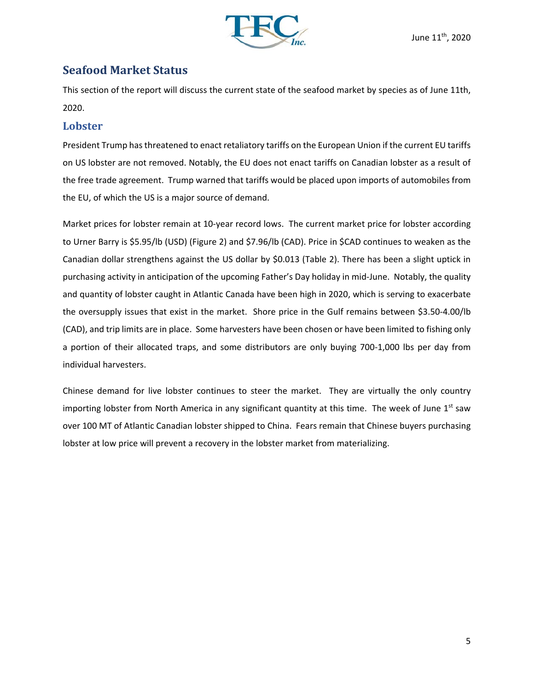

## **Seafood Market Status**

This section of the report will discuss the current state of the seafood market by species as of June 11th, 2020.

## **Lobster**

President Trump has threatened to enact retaliatory tariffs on the European Union if the current EU tariffs on US lobster are not removed. Notably, the EU does not enact tariffs on Canadian lobster as a result of the free trade agreement. Trump warned that tariffs would be placed upon imports of automobiles from the EU, of which the US is a major source of demand.

Market prices for lobster remain at 10‐year record lows. The current market price for lobster according to Urner Barry is \$5.95/lb (USD) (Figure 2) and \$7.96/lb (CAD). Price in \$CAD continues to weaken as the Canadian dollar strengthens against the US dollar by \$0.013 (Table 2). There has been a slight uptick in purchasing activity in anticipation of the upcoming Father's Day holiday in mid‐June. Notably, the quality and quantity of lobster caught in Atlantic Canada have been high in 2020, which is serving to exacerbate the oversupply issues that exist in the market. Shore price in the Gulf remains between \$3.50-4.00/lb (CAD), and trip limits are in place. Some harvesters have been chosen or have been limited to fishing only a portion of their allocated traps, and some distributors are only buying 700-1,000 lbs per day from individual harvesters.

Chinese demand for live lobster continues to steer the market. They are virtually the only country importing lobster from North America in any significant quantity at this time. The week of June  $1<sup>st</sup>$  saw over 100 MT of Atlantic Canadian lobster shipped to China. Fears remain that Chinese buyers purchasing lobster at low price will prevent a recovery in the lobster market from materializing.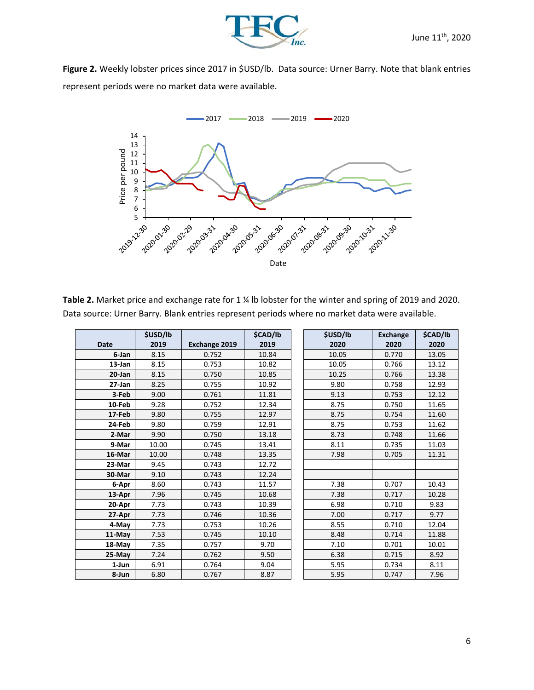

**Figure 2.** Weekly lobster prices since 2017 in \$USD/lb. Data source: Urner Barry. Note that blank entries represent periods were no market data were available.



**Table 2.** Market price and exchange rate for 1 ¼ lb lobster for the winter and spring of 2019 and 2020. Data source: Urner Barry. Blank entries represent periods where no market data were available.

|             | \$USD/lb |                      | \$CAD/lb | \$USD/lb | <b>Exchange</b> | \$CAD/lb |
|-------------|----------|----------------------|----------|----------|-----------------|----------|
| <b>Date</b> | 2019     | <b>Exchange 2019</b> | 2019     | 2020     | 2020            | 2020     |
| 6-Jan       | 8.15     | 0.752                | 10.84    | 10.05    | 0.770           | 13.05    |
| $13$ -Jan   | 8.15     | 0.753                | 10.82    | 10.05    | 0.766           | 13.12    |
| 20-Jan      | 8.15     | 0.750                | 10.85    | 10.25    | 0.766           | 13.38    |
| $27 - Jan$  | 8.25     | 0.755                | 10.92    | 9.80     | 0.758           | 12.93    |
| 3-Feb       | 9.00     | 0.761                | 11.81    | 9.13     | 0.753           | 12.12    |
| 10-Feb      | 9.28     | 0.752                | 12.34    | 8.75     | 0.750           | 11.65    |
| 17-Feb      | 9.80     | 0.755                | 12.97    | 8.75     | 0.754           | 11.60    |
| 24-Feb      | 9.80     | 0.759                | 12.91    | 8.75     | 0.753           | 11.62    |
| 2-Mar       | 9.90     | 0.750                | 13.18    | 8.73     | 0.748           | 11.66    |
| 9-Mar       | 10.00    | 0.745                | 13.41    | 8.11     | 0.735           | 11.03    |
| 16-Mar      | 10.00    | 0.748                | 13.35    | 7.98     | 0.705           | 11.31    |
| 23-Mar      | 9.45     | 0.743                | 12.72    |          |                 |          |
| 30-Mar      | 9.10     | 0.743                | 12.24    |          |                 |          |
| 6-Apr       | 8.60     | 0.743                | 11.57    | 7.38     | 0.707           | 10.43    |
| 13-Apr      | 7.96     | 0.745                | 10.68    | 7.38     | 0.717           | 10.28    |
| 20-Apr      | 7.73     | 0.743                | 10.39    | 6.98     | 0.710           | 9.83     |
| 27-Apr      | 7.73     | 0.746                | 10.36    | 7.00     | 0.717           | 9.77     |
| 4-May       | 7.73     | 0.753                | 10.26    | 8.55     | 0.710           | 12.04    |
| 11-May      | 7.53     | 0.745                | 10.10    | 8.48     | 0.714           | 11.88    |
| 18-May      | 7.35     | 0.757                | 9.70     | 7.10     | 0.701           | 10.01    |
| $25-May$    | 7.24     | 0.762                | 9.50     | 6.38     | 0.715           | 8.92     |
| 1-Jun       | 6.91     | 0.764                | 9.04     | 5.95     | 0.734           | 8.11     |
| 8-Jun       | 6.80     | 0.767                | 8.87     | 5.95     | 0.747           | 7.96     |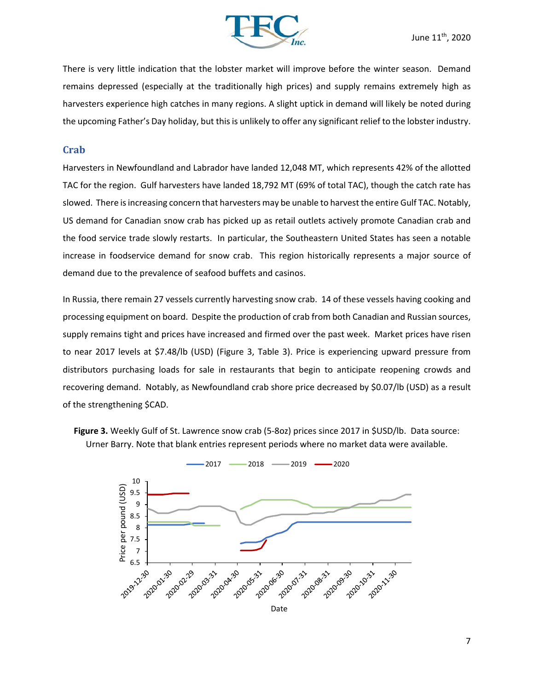

There is very little indication that the lobster market will improve before the winter season. Demand remains depressed (especially at the traditionally high prices) and supply remains extremely high as harvesters experience high catches in many regions. A slight uptick in demand will likely be noted during the upcoming Father's Day holiday, but this is unlikely to offer any significant relief to the lobster industry.

#### **Crab**

Harvesters in Newfoundland and Labrador have landed 12,048 MT, which represents 42% of the allotted TAC for the region. Gulf harvesters have landed 18,792 MT (69% of total TAC), though the catch rate has slowed. There is increasing concern that harvesters may be unable to harvest the entire Gulf TAC. Notably, US demand for Canadian snow crab has picked up as retail outlets actively promote Canadian crab and the food service trade slowly restarts. In particular, the Southeastern United States has seen a notable increase in foodservice demand for snow crab. This region historically represents a major source of demand due to the prevalence of seafood buffets and casinos.

In Russia, there remain 27 vessels currently harvesting snow crab. 14 of these vessels having cooking and processing equipment on board. Despite the production of crab from both Canadian and Russian sources, supply remains tight and prices have increased and firmed over the past week. Market prices have risen to near 2017 levels at \$7.48/lb (USD) (Figure 3, Table 3). Price is experiencing upward pressure from distributors purchasing loads for sale in restaurants that begin to anticipate reopening crowds and recovering demand. Notably, as Newfoundland crab shore price decreased by \$0.07/lb (USD) as a result of the strengthening \$CAD.



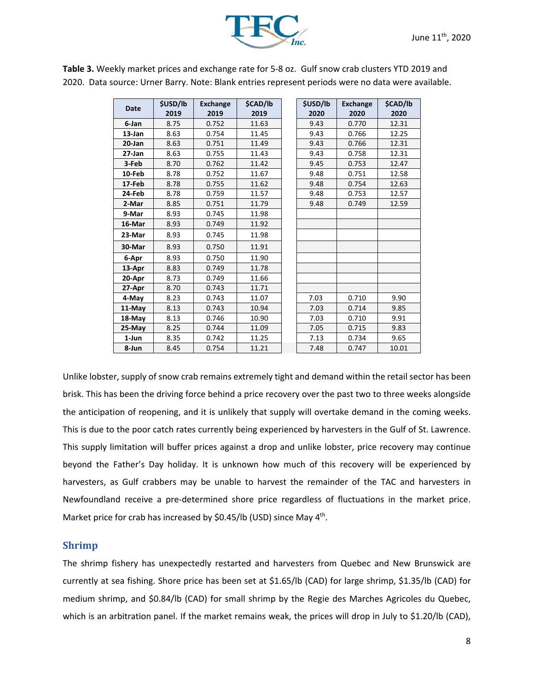

|             | \$USD/lb | <b>Exchange</b> | \$CAD/lb | \$USD/lb | <b>Exchange</b> | \$CAD/lb |
|-------------|----------|-----------------|----------|----------|-----------------|----------|
| <b>Date</b> | 2019     | 2019            | 2019     | 2020     | 2020            | 2020     |
| 6-Jan       | 8.75     | 0.752           | 11.63    | 9.43     | 0.770           | 12.31    |
| 13-Jan      | 8.63     | 0.754           | 11.45    | 9.43     | 0.766           | 12.25    |
| 20-Jan      | 8.63     | 0.751           | 11.49    | 9.43     | 0.766           | 12.31    |
| 27-Jan      | 8.63     | 0.755           | 11.43    | 9.43     | 0.758           | 12.31    |
| 3-Feb       | 8.70     | 0.762           | 11.42    | 9.45     | 0.753           | 12.47    |
| 10-Feb      | 8.78     | 0.752           | 11.67    | 9.48     | 0.751           | 12.58    |
| 17-Feb      | 8.78     | 0.755           | 11.62    | 9.48     | 0.754           | 12.63    |
| 24-Feb      | 8.78     | 0.759           | 11.57    | 9.48     | 0.753           | 12.57    |
| 2-Mar       | 8.85     | 0.751           | 11.79    | 9.48     | 0.749           | 12.59    |
| 9-Mar       | 8.93     | 0.745           | 11.98    |          |                 |          |
| 16-Mar      | 8.93     | 0.749           | 11.92    |          |                 |          |
| 23-Mar      | 8.93     | 0.745           | 11.98    |          |                 |          |
| 30-Mar      | 8.93     | 0.750           | 11.91    |          |                 |          |
| 6-Apr       | 8.93     | 0.750           | 11.90    |          |                 |          |
| 13-Apr      | 8.83     | 0.749           | 11.78    |          |                 |          |
| 20-Apr      | 8.73     | 0.749           | 11.66    |          |                 |          |
| 27-Apr      | 8.70     | 0.743           | 11.71    |          |                 |          |
| 4-May       | 8.23     | 0.743           | 11.07    | 7.03     | 0.710           | 9.90     |
| 11-May      | 8.13     | 0.743           | 10.94    | 7.03     | 0.714           | 9.85     |
| 18-May      | 8.13     | 0.746           | 10.90    | 7.03     | 0.710           | 9.91     |
| 25-May      | 8.25     | 0.744           | 11.09    | 7.05     | 0.715           | 9.83     |
| 1-Jun       | 8.35     | 0.742           | 11.25    | 7.13     | 0.734           | 9.65     |
| 8-Jun       | 8.45     | 0.754           | 11.21    | 7.48     | 0.747           | 10.01    |

**Table 3.** Weekly market prices and exchange rate for 5‐8 oz. Gulf snow crab clusters YTD 2019 and 2020. Data source: Urner Barry. Note: Blank entries represent periods were no data were available.

Unlike lobster, supply of snow crab remains extremely tight and demand within the retail sector has been brisk. This has been the driving force behind a price recovery over the past two to three weeks alongside the anticipation of reopening, and it is unlikely that supply will overtake demand in the coming weeks. This is due to the poor catch rates currently being experienced by harvesters in the Gulf of St. Lawrence. This supply limitation will buffer prices against a drop and unlike lobster, price recovery may continue beyond the Father's Day holiday. It is unknown how much of this recovery will be experienced by harvesters, as Gulf crabbers may be unable to harvest the remainder of the TAC and harvesters in Newfoundland receive a pre‐determined shore price regardless of fluctuations in the market price. Market price for crab has increased by \$0.45/lb (USD) since May 4<sup>th</sup>.

#### **Shrimp**

The shrimp fishery has unexpectedly restarted and harvesters from Quebec and New Brunswick are currently at sea fishing. Shore price has been set at \$1.65/lb (CAD) for large shrimp, \$1.35/lb (CAD) for medium shrimp, and \$0.84/lb (CAD) for small shrimp by the Regie des Marches Agricoles du Quebec, which is an arbitration panel. If the market remains weak, the prices will drop in July to \$1.20/lb (CAD),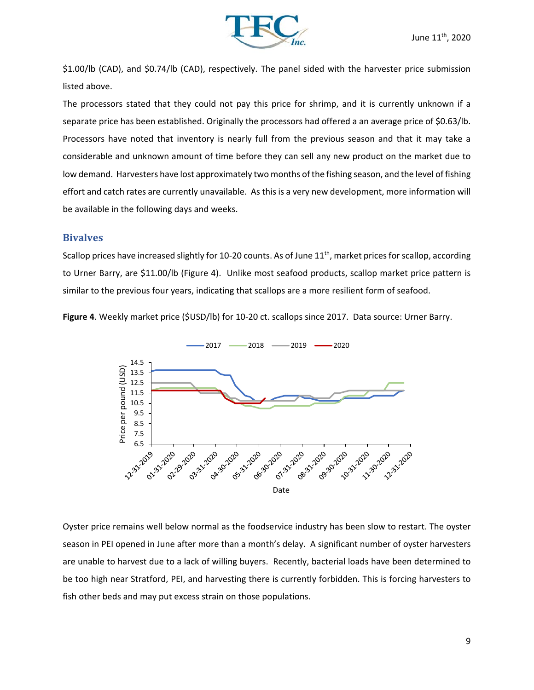

\$1.00/lb (CAD), and \$0.74/lb (CAD), respectively. The panel sided with the harvester price submission listed above.

The processors stated that they could not pay this price for shrimp, and it is currently unknown if a separate price has been established. Originally the processors had offered a an average price of \$0.63/lb. Processors have noted that inventory is nearly full from the previous season and that it may take a considerable and unknown amount of time before they can sell any new product on the market due to low demand. Harvesters have lost approximately two months of the fishing season, and the level of fishing effort and catch rates are currently unavailable. As this is a very new development, more information will be available in the following days and weeks.

#### **Bivalves**

Scallop prices have increased slightly for 10-20 counts. As of June 11<sup>th</sup>, market prices for scallop, according to Urner Barry, are \$11.00/lb (Figure 4). Unlike most seafood products, scallop market price pattern is similar to the previous four years, indicating that scallops are a more resilient form of seafood.

**Figure 4**. Weekly market price (\$USD/lb) for 10‐20 ct. scallops since 2017. Data source: Urner Barry.



Oyster price remains well below normal as the foodservice industry has been slow to restart. The oyster season in PEI opened in June after more than a month's delay. A significant number of oyster harvesters are unable to harvest due to a lack of willing buyers. Recently, bacterial loads have been determined to be too high near Stratford, PEI, and harvesting there is currently forbidden. This is forcing harvesters to fish other beds and may put excess strain on those populations.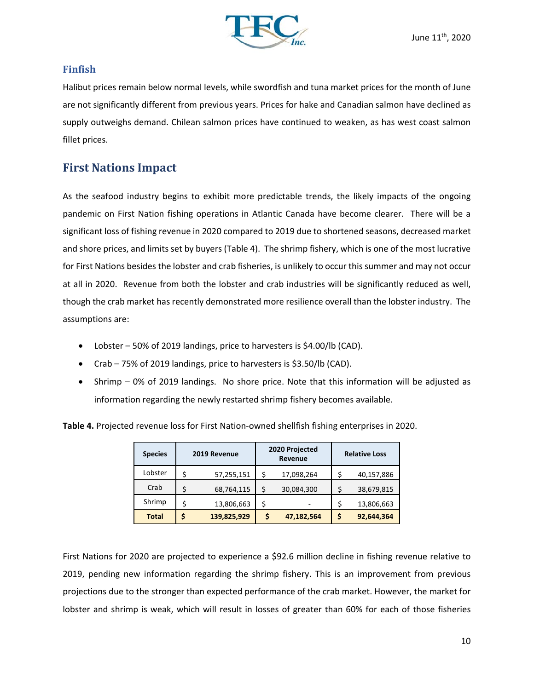

## **Finfish**

Halibut prices remain below normal levels, while swordfish and tuna market prices for the month of June are not significantly different from previous years. Prices for hake and Canadian salmon have declined as supply outweighs demand. Chilean salmon prices have continued to weaken, as has west coast salmon fillet prices.

## **First Nations Impact**

As the seafood industry begins to exhibit more predictable trends, the likely impacts of the ongoing pandemic on First Nation fishing operations in Atlantic Canada have become clearer. There will be a significant loss of fishing revenue in 2020 compared to 2019 due to shortened seasons, decreased market and shore prices, and limits set by buyers (Table 4). The shrimp fishery, which is one of the most lucrative for First Nations besides the lobster and crab fisheries, is unlikely to occur this summer and may not occur at all in 2020. Revenue from both the lobster and crab industries will be significantly reduced as well, though the crab market has recently demonstrated more resilience overall than the lobster industry. The assumptions are:

- Lobster 50% of 2019 landings, price to harvesters is \$4.00/lb (CAD).
- Crab 75% of 2019 landings, price to harvesters is \$3.50/lb (CAD).
- Shrimp 0% of 2019 landings. No shore price. Note that this information will be adjusted as information regarding the newly restarted shrimp fishery becomes available.

**Table 4.** Projected revenue loss for First Nation‐owned shellfish fishing enterprises in 2020.

| <b>Species</b> | 2019 Revenue |             | 2020 Projected<br>Revenue |            | <b>Relative Loss</b> |            |  |
|----------------|--------------|-------------|---------------------------|------------|----------------------|------------|--|
| Lobster        | \$           | 57,255,151  | \$                        | 17,098,264 | \$                   | 40,157,886 |  |
| Crab           | \$           | 68,764,115  | \$                        | 30,084,300 | \$                   | 38,679,815 |  |
| Shrimp         | \$           | 13,806,663  | \$                        |            | \$                   | 13,806,663 |  |
| <b>Total</b>   | S            | 139,825,929 | \$                        | 47,182,564 | \$                   | 92,644,364 |  |

First Nations for 2020 are projected to experience a \$92.6 million decline in fishing revenue relative to 2019, pending new information regarding the shrimp fishery. This is an improvement from previous projections due to the stronger than expected performance of the crab market. However, the market for lobster and shrimp is weak, which will result in losses of greater than 60% for each of those fisheries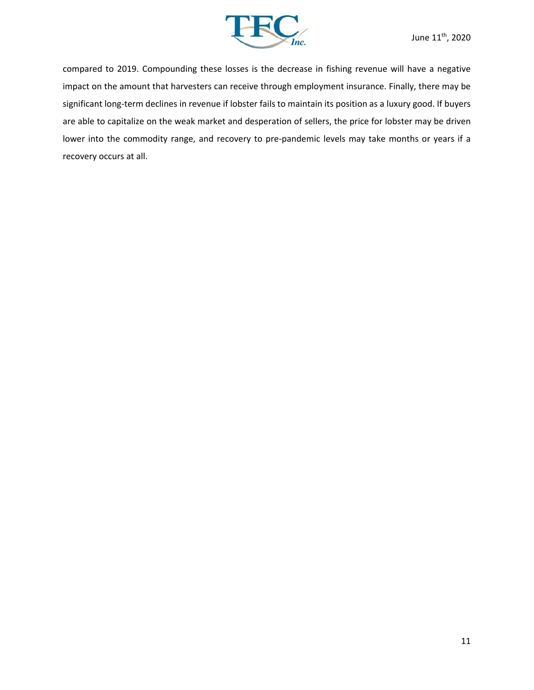

compared to 2019. Compounding these losses is the decrease in fishing revenue will have a negative impact on the amount that harvesters can receive through employment insurance. Finally, there may be significant long‐term declines in revenue if lobster fails to maintain its position as a luxury good. If buyers are able to capitalize on the weak market and desperation of sellers, the price for lobster may be driven lower into the commodity range, and recovery to pre-pandemic levels may take months or years if a recovery occurs at all.